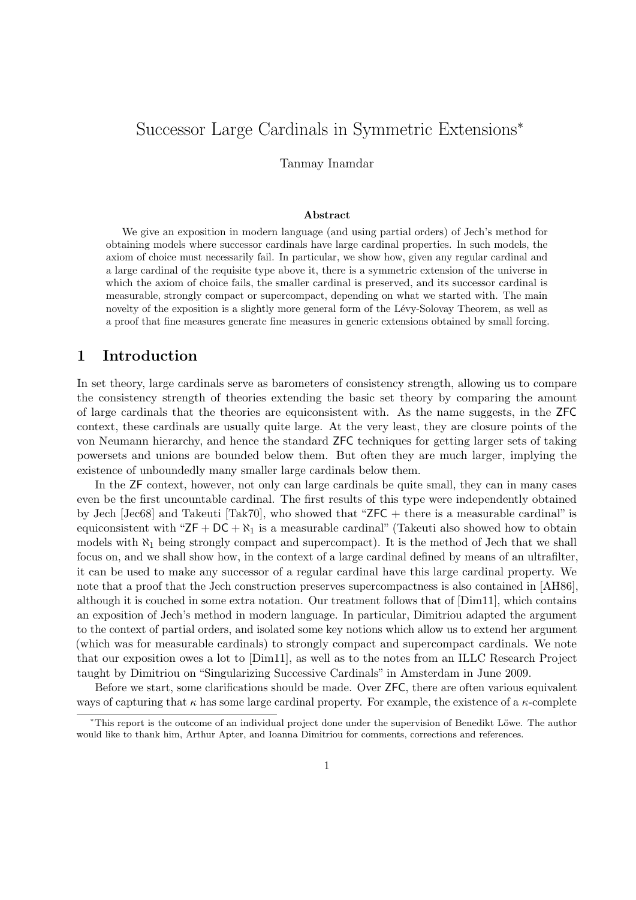# Successor Large Cardinals in Symmetric Extensions<sup>∗</sup>

Tanmay Inamdar

#### Abstract

We give an exposition in modern language (and using partial orders) of Jech's method for obtaining models where successor cardinals have large cardinal properties. In such models, the axiom of choice must necessarily fail. In particular, we show how, given any regular cardinal and a large cardinal of the requisite type above it, there is a symmetric extension of the universe in which the axiom of choice fails, the smaller cardinal is preserved, and its successor cardinal is measurable, strongly compact or supercompact, depending on what we started with. The main novelty of the exposition is a slightly more general form of the Lévy-Solovay Theorem, as well as a proof that fine measures generate fine measures in generic extensions obtained by small forcing.

### 1 Introduction

In set theory, large cardinals serve as barometers of consistency strength, allowing us to compare the consistency strength of theories extending the basic set theory by comparing the amount of large cardinals that the theories are equiconsistent with. As the name suggests, in the ZFC context, these cardinals are usually quite large. At the very least, they are closure points of the von Neumann hierarchy, and hence the standard ZFC techniques for getting larger sets of taking powersets and unions are bounded below them. But often they are much larger, implying the existence of unboundedly many smaller large cardinals below them.

In the ZF context, however, not only can large cardinals be quite small, they can in many cases even be the first uncountable cardinal. The first results of this type were independently obtained by Jech [Jec68] and Takeuti [Tak70], who showed that "ZFC + there is a measurable cardinal" is equiconsistent with " $ZF + DC + \aleph_1$  is a measurable cardinal" (Takeuti also showed how to obtain models with  $\aleph_1$  being strongly compact and supercompact). It is the method of Jech that we shall focus on, and we shall show how, in the context of a large cardinal defined by means of an ultrafilter, it can be used to make any successor of a regular cardinal have this large cardinal property. We note that a proof that the Jech construction preserves supercompactness is also contained in [AH86]. although it is couched in some extra notation. Our treatment follows that of [Dim11], which contains an exposition of Jech's method in modern language. In particular, Dimitriou adapted the argument to the context of partial orders, and isolated some key notions which allow us to extend her argument (which was for measurable cardinals) to strongly compact and supercompact cardinals. We note that our exposition owes a lot to [Dim11], as well as to the notes from an ILLC Research Project taught by Dimitriou on "Singularizing Successive Cardinals" in Amsterdam in June 2009.

Before we start, some clarifications should be made. Over ZFC, there are often various equivalent ways of capturing that  $\kappa$  has some large cardinal property. For example, the existence of a  $\kappa$ -complete

<sup>∗</sup>This report is the outcome of an individual project done under the supervision of Benedikt L¨owe. The author would like to thank him, Arthur Apter, and Ioanna Dimitriou for comments, corrections and references.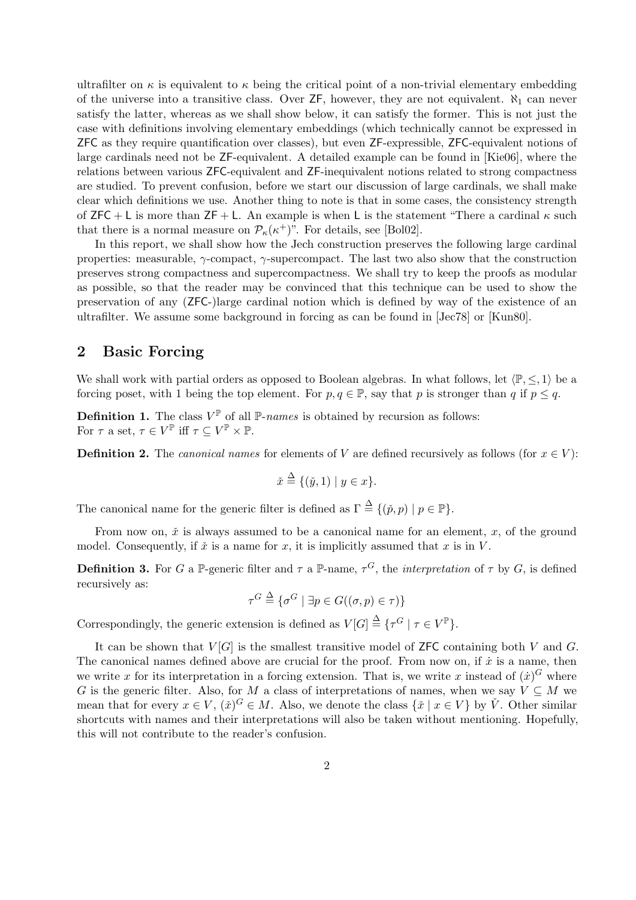ultrafilter on  $\kappa$  is equivalent to  $\kappa$  being the critical point of a non-trivial elementary embedding of the universe into a transitive class. Over  $\mathsf{ZF},$  however, they are not equivalent.  $\aleph_1$  can never satisfy the latter, whereas as we shall show below, it can satisfy the former. This is not just the case with definitions involving elementary embeddings (which technically cannot be expressed in ZFC as they require quantification over classes), but even ZF-expressible, ZFC-equivalent notions of large cardinals need not be ZF-equivalent. A detailed example can be found in [Kie06], where the relations between various ZFC-equivalent and ZF-inequivalent notions related to strong compactness are studied. To prevent confusion, before we start our discussion of large cardinals, we shall make clear which definitions we use. Another thing to note is that in some cases, the consistency strength of ZFC + L is more than ZF + L. An example is when L is the statement "There a cardinal  $\kappa$  such that there is a normal measure on  $\mathcal{P}_{\kappa}(\kappa^+)$ ". For details, see [Bol02].

In this report, we shall show how the Jech construction preserves the following large cardinal properties: measurable,  $\gamma$ -compact,  $\gamma$ -supercompact. The last two also show that the construction preserves strong compactness and supercompactness. We shall try to keep the proofs as modular as possible, so that the reader may be convinced that this technique can be used to show the preservation of any (ZFC-)large cardinal notion which is defined by way of the existence of an ultrafilter. We assume some background in forcing as can be found in [Jec78] or [Kun80].

### 2 Basic Forcing

We shall work with partial orders as opposed to Boolean algebras. In what follows, let  $\langle P, \leq, 1 \rangle$  be a forcing poset, with 1 being the top element. For  $p, q \in \mathbb{P}$ , say that p is stronger than q if  $p \leq q$ .

**Definition 1.** The class  $V^{\mathbb{P}}$  of all  $\mathbb{P}$ -names is obtained by recursion as follows: For  $\tau$  a set,  $\tau \in V^{\mathbb{P}}$  iff  $\tau \subseteq V^{\mathbb{P}} \times \mathbb{P}$ .

**Definition 2.** The *canonical names* for elements of V are defined recursively as follows (for  $x \in V$ ):

$$
\check{x} \stackrel{\Delta}{=} \{ (\check{y}, 1) \mid y \in x \}.
$$

The canonical name for the generic filter is defined as  $\Gamma \stackrel{\Delta}{=} \{(\check{p}, p) \mid p \in \mathbb{P}\}.$ 

From now on,  $\check{x}$  is always assumed to be a canonical name for an element,  $x$ , of the ground model. Consequently, if  $\check{x}$  is a name for x, it is implicitly assumed that x is in V.

**Definition 3.** For G a P-generic filter and  $\tau$  a P-name,  $\tau^G$ , the *interpretation* of  $\tau$  by G, is defined recursively as:

$$
\tau^G \stackrel{\Delta}{=} \{ \sigma^G \mid \exists p \in G((\sigma, p) \in \tau) \}
$$

Correspondingly, the generic extension is defined as  $V[G] \triangleq {\tau^G | \tau \in V^{\mathbb{P}}}.$ 

It can be shown that  $V[G]$  is the smallest transitive model of ZFC containing both V and G. The canonical names defined above are crucial for the proof. From now on, if  $\dot{x}$  is a name, then we write x for its interpretation in a forcing extension. That is, we write x instead of  $(\dot{x})^G$  where G is the generic filter. Also, for M a class of interpretations of names, when we say  $V \subseteq M$  we mean that for every  $x \in V$ ,  $(\check{x})^G \in M$ . Also, we denote the class  $\{\check{x} \mid x \in V\}$  by  $\check{V}$ . Other similar shortcuts with names and their interpretations will also be taken without mentioning. Hopefully, this will not contribute to the reader's confusion.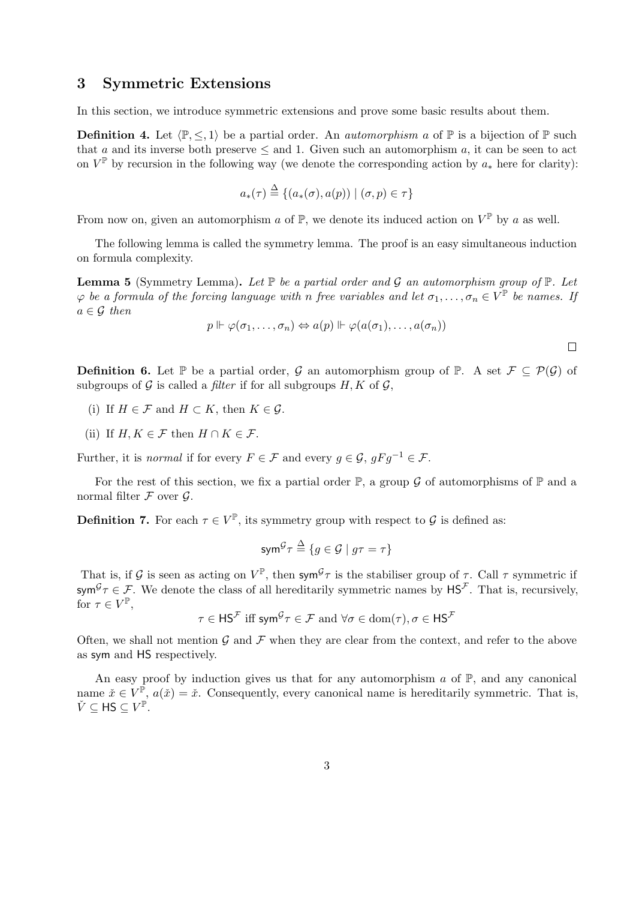#### 3 Symmetric Extensions

In this section, we introduce symmetric extensions and prove some basic results about them.

**Definition 4.** Let  $\langle \mathbb{P}, \leq, 1 \rangle$  be a partial order. An *automorphism a* of  $\mathbb{P}$  is a bijection of  $\mathbb{P}$  such that a and its inverse both preserve  $\leq$  and 1. Given such an automorphism a, it can be seen to act on  $V^{\mathbb{P}}$  by recursion in the following way (we denote the corresponding action by  $a_*$  here for clarity):

$$
a_*(\tau) \stackrel{\Delta}{=} \{ (a_*(\sigma), a(p)) \mid (\sigma, p) \in \tau \}
$$

From now on, given an automorphism a of  $\mathbb{P}$ , we denote its induced action on  $V^{\mathbb{P}}$  by a as well.

The following lemma is called the symmetry lemma. The proof is an easy simultaneous induction on formula complexity.

**Lemma 5** (Symmetry Lemma). Let  $\mathbb P$  be a partial order and  $\mathcal G$  an automorphism group of  $\mathbb P$ . Let  $\varphi$  be a formula of the forcing language with n free variables and let  $\sigma_1,\ldots,\sigma_n\in V^{\mathbb{P}}$  be names. If  $a \in \mathcal{G}$  then

$$
p \Vdash \varphi(\sigma_1, \ldots, \sigma_n) \Leftrightarrow a(p) \Vdash \varphi(a(\sigma_1), \ldots, a(\sigma_n))
$$

**Definition 6.** Let P be a partial order, G an automorphism group of P. A set  $\mathcal{F} \subset \mathcal{P}(\mathcal{G})$  of subgroups of  $\mathcal G$  is called a *filter* if for all subgroups  $H, K$  of  $\mathcal G$ ,

- (i) If  $H \in \mathcal{F}$  and  $H \subset K$ , then  $K \in \mathcal{G}$ .
- (ii) If  $H, K \in \mathcal{F}$  then  $H \cap K \in \mathcal{F}$ .

Further, it is *normal* if for every  $F \in \mathcal{F}$  and every  $g \in \mathcal{G}$ ,  $gFg^{-1} \in \mathcal{F}$ .

For the rest of this section, we fix a partial order  $\mathbb{P}$ , a group G of automorphisms of  $\mathbb{P}$  and a normal filter  $\mathcal F$  over  $\mathcal G$ .

**Definition 7.** For each  $\tau \in V^{\mathbb{P}}$ , its symmetry group with respect to G is defined as:

$$
\mathrm{sym}^{\mathcal{G}}\tau\stackrel{\Delta}{=}\{g\in\mathcal{G}\mid g\tau=\tau\}
$$

That is, if G is seen as acting on  $V^{\mathbb{P}}$ , then sym<sup>G</sup> $\tau$  is the stabiliser group of  $\tau$ . Call  $\tau$  symmetric if sym ${}^{\mathcal{G}}\tau \in \mathcal{F}$ . We denote the class of all hereditarily symmetric names by  $\mathsf{HS}^{\mathcal{F}}$ . That is, recursively, for  $\tau \in V^{\mathbb{P}},$ 

$$
\tau \in \mathsf{HS}^{\mathcal{F}}
$$
 iff  $\mathsf{sym}^{\mathcal{G}} \tau \in \mathcal{F}$  and  $\forall \sigma \in \text{dom}(\tau), \sigma \in \mathsf{HS}^{\mathcal{F}}$ 

Often, we shall not mention  $\mathcal G$  and  $\mathcal F$  when they are clear from the context, and refer to the above as sym and HS respectively.

An easy proof by induction gives us that for any automorphism  $a$  of  $\mathbb{P}$ , and any canonical name  $\check{x} \in V^{\bar{\mathbb{P}}}, a(\check{x}) = \check{x}$ . Consequently, every canonical name is hereditarily symmetric. That is,  $\check{V} \subseteq \mathsf{HS} \subseteq V^{\mathbb{P}}$ .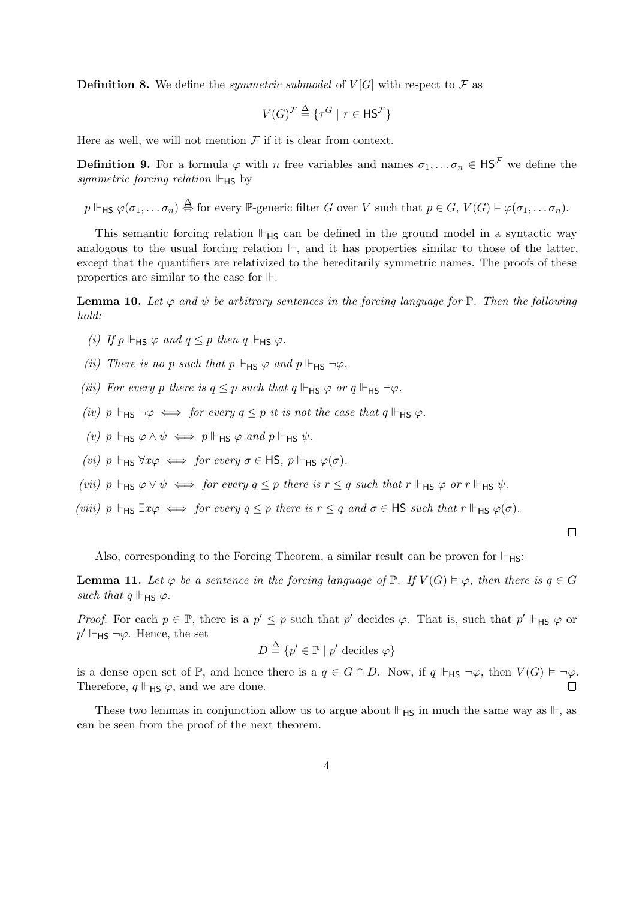**Definition 8.** We define the *symmetric submodel* of  $V[G]$  with respect to  $\mathcal F$  as

$$
V(G)^{\mathcal{F}} \stackrel{\Delta}{=} \{ \tau^G \mid \tau \in {\mathsf{HS}}^{\mathcal{F}} \}
$$

Here as well, we will not mention  $\mathcal F$  if it is clear from context.

**Definition 9.** For a formula  $\varphi$  with n free variables and names  $\sigma_1, \ldots, \sigma_n \in \mathsf{HS}^\mathcal{F}$  we define the symmetric forcing relation  $\mathbb{H}_{\text{HS}}$  by

 $p \Vdash$ <sub>HS</sub>  $\varphi(\sigma_1, \ldots \sigma_n) \stackrel{\Delta}{\Leftrightarrow}$  for every  $\mathbb{P}$ -generic filter G over V such that  $p \in G$ ,  $V(G) \vDash \varphi(\sigma_1, \ldots \sigma_n)$ .

This semantic forcing relation  $\mathbb{H}_{HS}$  can be defined in the ground model in a syntactic way analogous to the usual forcing relation  $\mathbb{H}$ , and it has properties similar to those of the latter, except that the quantifiers are relativized to the hereditarily symmetric names. The proofs of these properties are similar to the case for  $\mathbb{H}$ .

**Lemma 10.** Let  $\varphi$  and  $\psi$  be arbitrary sentences in the forcing language for  $\mathbb{P}$ . Then the following hold:

- (i) If  $p \Vdash_{HS} \varphi$  and  $q \leq p$  then  $q \Vdash_{HS} \varphi$ .
- (ii) There is no p such that  $p \Vdash_{\mathsf{HS}} \varphi$  and  $p \Vdash_{\mathsf{HS}} \neg \varphi$ .
- (iii) For every p there is  $q \leq p$  such that  $q \Vdash_{HS} \varphi$  or  $q \Vdash_{HS} \neg \varphi$ .
- (iv)  $p \Vdash_{HS} \neg \varphi \iff \text{for every } q \leq p \text{ it is not the case that } q \Vdash_{HS} \varphi.$
- (v)  $p \Vdash_{HS} \varphi \land \psi \iff p \Vdash_{HS} \varphi \text{ and } p \Vdash_{HS} \psi.$
- (vi)  $p \Vdash_{HS} \forall x \varphi \iff \text{for every } \sigma \in \mathsf{HS}, \ p \Vdash_{HS} \varphi(\sigma)$ .

(vii)  $p \Vdash_{HS} \varphi \vee \psi \iff \text{for every } q \leq p \text{ there is } r \leq q \text{ such that } r \Vdash_{HS} \varphi \text{ or } r \Vdash_{HS} \psi.$ 

(viii)  $p \Vdash_{HS} \exists x \varphi \iff \text{for every } q \leq p \text{ there is } r \leq q \text{ and } \sigma \in \text{HS} \text{ such that } r \Vdash_{HS} \varphi(\sigma)$ .

Also, corresponding to the Forcing Theorem, a similar result can be proven for  $\Vdash_{HS}$ :

**Lemma 11.** Let  $\varphi$  be a sentence in the forcing language of  $\mathbb{P}$ . If  $V(G) \models \varphi$ , then there is  $q \in G$ such that  $q \Vdash_{\mathsf{HS}} \varphi$ .

*Proof.* For each  $p \in \mathbb{P}$ , there is a  $p' \leq p$  such that p' decides  $\varphi$ . That is, such that  $p' \Vdash_{HS} \varphi$  or  $p' \Vdash$ <sub>HS</sub>  $\neg \varphi$ . Hence, the set

$$
D \stackrel{\Delta}{=} \{p' \in \mathbb{P} \mid p' \text{ decides } \varphi\}
$$

is a dense open set of  $\mathbb{P}$ , and hence there is a  $q \in G \cap D$ . Now, if  $q \Vdash_{HS} \neg \varphi$ , then  $V(G) \models \neg \varphi$ . Therefore,  $q \Vdash_{HS} \varphi$ , and we are done.

These two lemmas in conjunction allow us to argue about  $\mathbb{H}_{\mathsf{HS}}$  in much the same way as  $\mathbb{H}_{\mathsf{S}}$  as can be seen from the proof of the next theorem.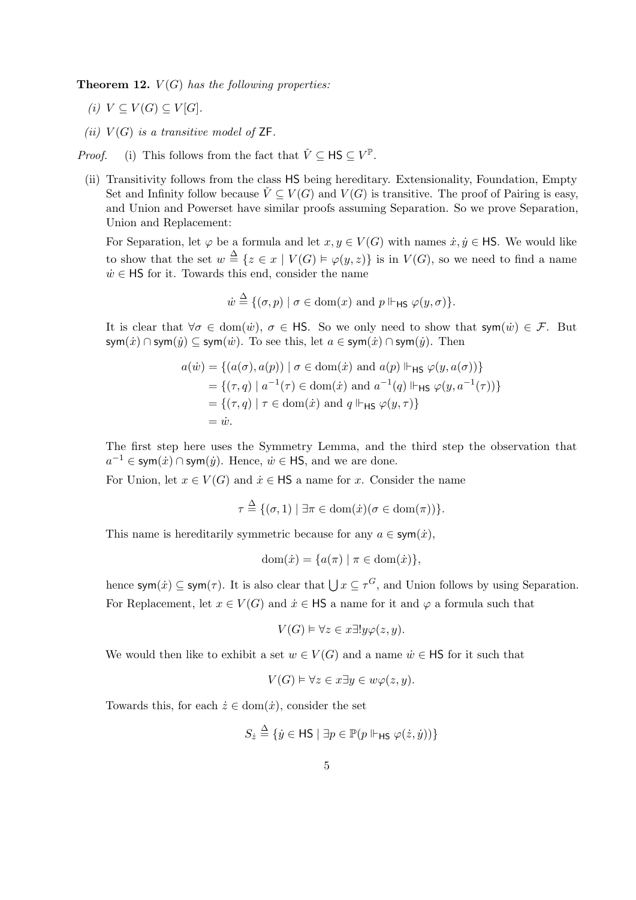**Theorem 12.**  $V(G)$  has the following properties:

- (i)  $V \subseteq V(G) \subseteq V[G]$ .
- (ii)  $V(G)$  is a transitive model of  $\mathsf{ZF}$ .

*Proof.* (i) This follows from the fact that  $\check{V} \subseteq \mathsf{HS} \subseteq V^{\mathbb{P}}$ .

(ii) Transitivity follows from the class HS being hereditary. Extensionality, Foundation, Empty Set and Infinity follow because  $\check{V} \subseteq V(G)$  and  $V(G)$  is transitive. The proof of Pairing is easy, and Union and Powerset have similar proofs assuming Separation. So we prove Separation, Union and Replacement:

For Separation, let  $\varphi$  be a formula and let  $x, y \in V(G)$  with names  $\dot{x}, \dot{y} \in \mathsf{HS}$ . We would like to show that the set  $w \stackrel{\Delta}{=} \{z \in x \mid V(G) \models \varphi(y, z)\}\$ is in  $V(G)$ , so we need to find a name  $\dot{w} \in \mathsf{HS}$  for it. Towards this end, consider the name

$$
\dot{w} \stackrel{\Delta}{=} \{(\sigma, p) \mid \sigma \in \text{dom}(x) \text{ and } p \Vdash_{\mathsf{HS}} \varphi(y, \sigma)\}.
$$

It is clear that  $\forall \sigma \in \text{dom}(\dot{w}), \ \sigma \in \mathsf{HS}.$  So we only need to show that  $\mathsf{sym}(\dot{w}) \in \mathcal{F}$ . But sym $(\dot{x}) \cap$ sym $(\dot{y}) \subseteq$ sym $(\dot{w})$ . To see this, let  $a \in \text{sym}(\dot{x}) \cap \text{sym}(\dot{y})$ . Then

$$
a(\dot{w}) = \{ (a(\sigma), a(p)) \mid \sigma \in \text{dom}(\dot{x}) \text{ and } a(p) \Vdash_{\text{HS}} \varphi(y, a(\sigma)) \}
$$
  
= 
$$
\{ (\tau, q) \mid a^{-1}(\tau) \in \text{dom}(\dot{x}) \text{ and } a^{-1}(q) \Vdash_{\text{HS}} \varphi(y, a^{-1}(\tau)) \}
$$
  
= 
$$
\{ (\tau, q) \mid \tau \in \text{dom}(\dot{x}) \text{ and } q \Vdash_{\text{HS}} \varphi(y, \tau) \}
$$
  
= 
$$
\dot{w}.
$$

The first step here uses the Symmetry Lemma, and the third step the observation that  $a^{-1} \in \text{sym}(\dot{x}) \cap \text{sym}(\dot{y})$ . Hence,  $\dot{w} \in \text{HS}$ , and we are done.

For Union, let  $x \in V(G)$  and  $\dot{x} \in \mathsf{HS}$  a name for x. Consider the name

$$
\tau \stackrel{\Delta}{=} \{(\sigma, 1) \mid \exists \pi \in \text{dom}(\dot{x}) (\sigma \in \text{dom}(\pi))\}.
$$

This name is hereditarily symmetric because for any  $a \in \text{sym}(x)$ ,

$$
\text{dom}(\dot{x}) = \{a(\pi) \mid \pi \in \text{dom}(\dot{x})\},
$$

hence sym $(\dot{x}) \subseteq \text{sym}(\tau)$ . It is also clear that  $\bigcup x \subseteq \tau^G$ , and Union follows by using Separation. For Replacement, let  $x \in V(G)$  and  $\dot{x} \in \mathsf{HS}$  a name for it and  $\varphi$  a formula such that

$$
V(G) \vDash \forall z \in x \exists! y \varphi(z, y).
$$

We would then like to exhibit a set  $w \in V(G)$  and a name  $\dot{w} \in \mathsf{HS}$  for it such that

$$
V(G) \vDash \forall z \in x \exists y \in w \varphi(z, y).
$$

Towards this, for each  $\dot{z} \in \text{dom}(\dot{x})$ , consider the set

$$
S_{\dot{z}} \stackrel{\Delta}{=} \{ \dot{y} \in \mathsf{HS} \mid \exists p \in \mathbb{P}(p \Vdash_{\mathsf{HS}} \varphi(\dot{z}, \dot{y})) \}
$$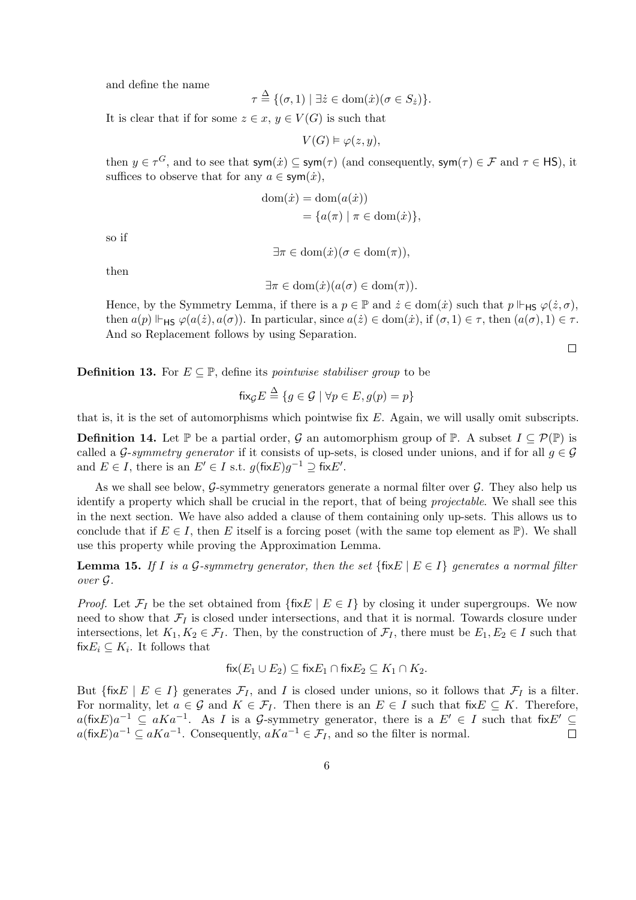and define the name

$$
\tau \stackrel{\Delta}{=} \{(\sigma, 1) \mid \exists \dot{z} \in \text{dom}(\dot{x}) (\sigma \in S_{\dot{z}})\}.
$$

It is clear that if for some  $z \in x, y \in V(G)$  is such that

$$
V(G) \vDash \varphi(z, y),
$$

then  $y \in \tau^G$ , and to see that  $sym(\dot{x}) \subseteq sym(\tau)$  (and consequently,  $sym(\tau) \in \mathcal{F}$  and  $\tau \in \mathsf{HS}$ ), it suffices to observe that for any  $a \in \text{sym}(\dot{x}),$ 

$$
dom(\dot{x}) = dom(a(\dot{x}))
$$
  
= { $a(\pi) | \pi \in dom(\dot{x})$ },

so if

 $\exists \pi \in \text{dom}(\dot{x}) (\sigma \in \text{dom}(\pi)).$ 

then

$$
\exists \pi \in \text{dom}(\dot{x})(a(\sigma) \in \text{dom}(\pi)).
$$

Hence, by the Symmetry Lemma, if there is a  $p \in \mathbb{P}$  and  $\dot{z} \in \text{dom}(\dot{x})$  such that  $p \Vdash_{\mathsf{HS}} \varphi(\dot{z}, \sigma)$ , then  $a(p) \Vdash_{HS} \varphi(a(\dot{z}), a(\sigma))$ . In particular, since  $a(\dot{z}) \in \text{dom}(\dot{x})$ , if  $(\sigma, 1) \in \tau$ , then  $(a(\sigma), 1) \in \tau$ . And so Replacement follows by using Separation.

 $\Box$ 

**Definition 13.** For  $E \subseteq \mathbb{P}$ , define its *pointwise stabiliser group* to be

$$
\mathrm{fix}_{\mathcal{G}} E \stackrel{\Delta}{=} \{ g \in \mathcal{G} \mid \forall p \in E, g(p) = p \}
$$

that is, it is the set of automorphisms which pointwise fix  $E$ . Again, we will usally omit subscripts.

**Definition 14.** Let  $\mathbb{P}$  be a partial order,  $\mathcal{G}$  an automorphism group of  $\mathbb{P}$ . A subset  $I \subseteq \mathcal{P}(\mathbb{P})$  is called a G-symmetry generator if it consists of up-sets, is closed under unions, and if for all  $q \in \mathcal{G}$ and  $E \in I$ , there is an  $E' \in I$  s.t.  $g(\text{fix}E)g^{-1} \supseteq \text{fix}E'.$ 

As we shall see below, G-symmetry generators generate a normal filter over  $\mathcal{G}$ . They also help us identify a property which shall be crucial in the report, that of being projectable. We shall see this in the next section. We have also added a clause of them containing only up-sets. This allows us to conclude that if  $E \in I$ , then E itself is a forcing poset (with the same top element as  $\mathbb{P}$ ). We shall use this property while proving the Approximation Lemma.

**Lemma 15.** If I is a G-symmetry generator, then the set  $\{fixE \mid E \in I\}$  generates a normal filter over G.

*Proof.* Let  $\mathcal{F}_I$  be the set obtained from  $\{\text{fix} E \mid E \in I\}$  by closing it under supergroups. We now need to show that  $\mathcal{F}_I$  is closed under intersections, and that it is normal. Towards closure under intersections, let  $K_1, K_2 \in \mathcal{F}_I$ . Then, by the construction of  $\mathcal{F}_I$ , there must be  $E_1, E_2 \in I$  such that fix $E_i \subseteq K_i$ . It follows that

$$
fix(E_1 \cup E_2) \subseteq fixE_1 \cap fixE_2 \subseteq K_1 \cap K_2.
$$

But {fixE | E ∈ I} generates  $\mathcal{F}_I$ , and I is closed under unions, so it follows that  $\mathcal{F}_I$  is a filter. For normality, let  $a \in \mathcal{G}$  and  $K \in \mathcal{F}_I$ . Then there is an  $E \in I$  such that fix  $E \subseteq K$ . Therefore,  $a(\text{fix}E)a^{-1} \subseteq aKa^{-1}$ . As I is a G-symmetry generator, there is a  $E' \in I$  such that fix  $E' \subseteq$  $a(\text{fix}E)a^{-1} \subseteq aKa^{-1}$ . Consequently,  $aKa^{-1} \in \mathcal{F}_I$ , and so the filter is normal.  $\Box$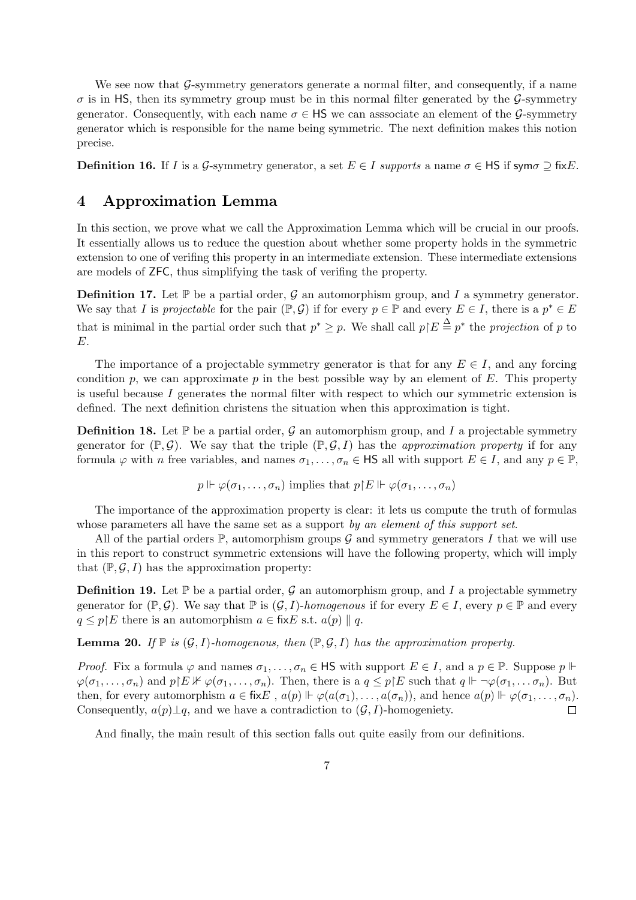We see now that  $\mathcal{G}$ -symmetry generators generate a normal filter, and consequently, if a name  $\sigma$  is in HS, then its symmetry group must be in this normal filter generated by the G-symmetry generator. Consequently, with each name  $\sigma \in \mathsf{HS}$  we can associate an element of the G-symmetry generator which is responsible for the name being symmetric. The next definition makes this notion precise.

**Definition 16.** If I is a G-symmetry generator, a set  $E \in I$  supports a name  $\sigma \in \mathsf{HS}$  if sym $\sigma \supseteq \mathsf{fix}E$ .

### 4 Approximation Lemma

In this section, we prove what we call the Approximation Lemma which will be crucial in our proofs. It essentially allows us to reduce the question about whether some property holds in the symmetric extension to one of verifing this property in an intermediate extension. These intermediate extensions are models of ZFC, thus simplifying the task of verifing the property.

**Definition 17.** Let  $\mathbb{P}$  be a partial order,  $\mathcal{G}$  an automorphism group, and I a symmetry generator. We say that I is projectable for the pair  $(\mathbb{P}, \mathcal{G})$  if for every  $p \in \mathbb{P}$  and every  $E \in I$ , there is a  $p^* \in E$ that is minimal in the partial order such that  $p^* \geq p$ . We shall call  $p \nvert E \stackrel{\Delta}{=} p^*$  the projection of p to E.

The importance of a projectable symmetry generator is that for any  $E \in I$ , and any forcing condition p, we can approximate p in the best possible way by an element of  $E$ . This property is useful because  $I$  generates the normal filter with respect to which our symmetric extension is defined. The next definition christens the situation when this approximation is tight.

**Definition 18.** Let  $\mathbb{P}$  be a partial order, G an automorphism group, and I a projectable symmetry generator for  $(\mathbb{P}, \mathcal{G})$ . We say that the triple  $(\mathbb{P}, \mathcal{G}, I)$  has the *approximation property* if for any formula  $\varphi$  with n free variables, and names  $\sigma_1, \ldots, \sigma_n \in \mathsf{HS}$  all with support  $E \in I$ , and any  $p \in \mathbb{P}$ ,

$$
p \Vdash \varphi(\sigma_1, \ldots, \sigma_n)
$$
 implies that  $p \upharpoonright E \Vdash \varphi(\sigma_1, \ldots, \sigma_n)$ 

The importance of the approximation property is clear: it lets us compute the truth of formulas whose parameters all have the same set as a support by an element of this support set.

All of the partial orders  $\mathbb{P}$ , automorphism groups G and symmetry generators I that we will use in this report to construct symmetric extensions will have the following property, which will imply that  $(\mathbb{P}, \mathcal{G}, I)$  has the approximation property:

**Definition 19.** Let  $\mathbb{P}$  be a partial order, G an automorphism group, and I a projectable symmetry generator for  $(\mathbb{P}, \mathcal{G})$ . We say that  $\mathbb{P}$  is  $(\mathcal{G}, I)$ -homogenous if for every  $E \in I$ , every  $p \in \mathbb{P}$  and every  $q \leq p \nvert E$  there is an automorphism  $a \in \text{fix} E$  s.t.  $a(p) || q$ .

**Lemma 20.** If  $\mathbb{P}$  is  $(\mathcal{G}, I)$ -homogenous, then  $(\mathbb{P}, \mathcal{G}, I)$  has the approximation property.

*Proof.* Fix a formula  $\varphi$  and names  $\sigma_1, \ldots, \sigma_n \in \mathsf{HS}$  with support  $E \in I$ , and a  $p \in \mathbb{P}$ . Suppose  $p \Vdash$  $\varphi(\sigma_1,\ldots,\sigma_n)$  and  $p \nvert E \nvert \varphi(\sigma_1,\ldots,\sigma_n)$ . Then, there is a  $q \leq p \nvert E$  such that  $q \Vdash \neg \varphi(\sigma_1,\ldots,\sigma_n)$ . But then, for every automorphism  $a \in \text{fix}E$ ,  $a(p) \Vdash \varphi(a(\sigma_1), \ldots, a(\sigma_n))$ , and hence  $a(p) \Vdash \varphi(\sigma_1, \ldots, \sigma_n)$ . Consequently,  $a(p) \perp q$ , and we have a contradiction to  $(\mathcal{G}, I)$ -homogeniety.  $\Box$ 

And finally, the main result of this section falls out quite easily from our definitions.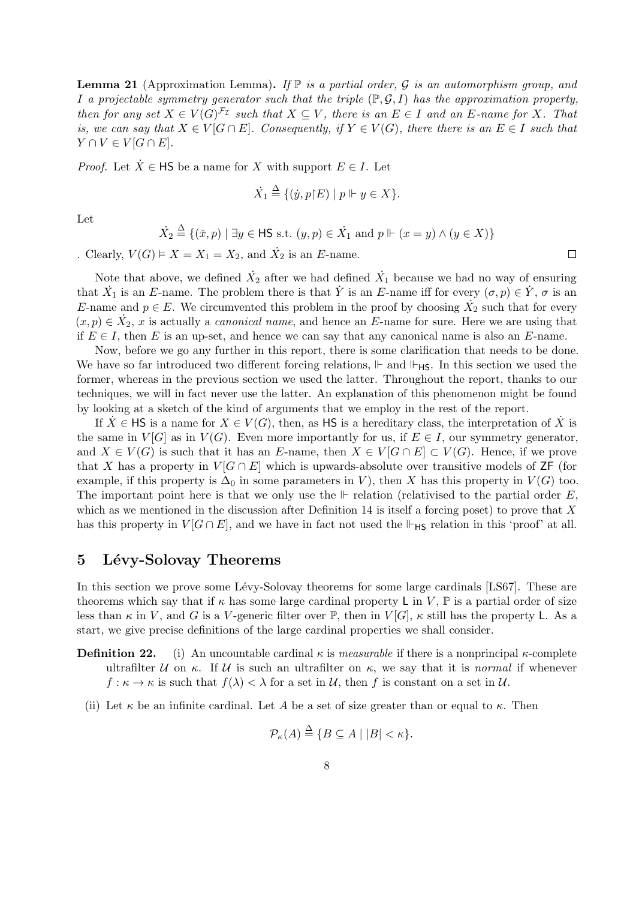**Lemma 21** (Approximation Lemma). If  $\mathbb{P}$  is a partial order, G is an automorphism group, and I a projectable symmetry generator such that the triple  $(\mathbb{P}, \mathcal{G}, I)$  has the approximation property, then for any set  $X \in V(G)^{\mathcal{F}_{\mathcal{I}}}$  such that  $X \subseteq V$ , there is an  $E \in I$  and an E-name for X. That is, we can say that  $X \in V[G \cap E]$ . Consequently, if  $Y \in V(G)$ , there there is an  $E \in I$  such that  $Y \cap V \in V[G \cap E].$ 

*Proof.* Let  $\dot{X} \in \mathsf{HS}$  be a name for X with support  $E \in I$ . Let

$$
\dot{X}_1 \stackrel{\Delta}{=} \{(\dot{y}, p \nvert E) \mid p \Vdash y \in X\}.
$$

Let

$$
\dot{X}_2 \stackrel{\Delta}{=} \{ (\check{x}, p) \mid \exists y \in \mathsf{HS} \text{ s.t. } (y, p) \in \dot{X}_1 \text{ and } p \Vdash (x = y) \land (y \in X) \}
$$

. Clearly,  $V(G) \models X = X_1 = X_2$ , and  $\dot{X}_2$  is an E-name.

Note that above, we defined  $\dot{X}_2$  after we had defined  $\dot{X}_1$  because we had no way of ensuring that  $\dot{X}_1$  is an E-name. The problem there is that  $\dot{Y}$  is an E-name iff for every  $(\sigma, p) \in \dot{Y}, \sigma$  is an E-name and  $p \in E$ . We circumvented this problem in the proof by choosing  $\overrightarrow{X}_2$  such that for every  $(x, p) \in \dot{X}_2$ , x is actually a *canonical name*, and hence an E-name for sure. Here we are using that if  $E \in I$ , then E is an up-set, and hence we can say that any canonical name is also an E-name.

Now, before we go any further in this report, there is some clarification that needs to be done. We have so far introduced two different forcing relations,  $\mathbb{F}$  and  $\mathbb{F}_{\text{HS}}$ . In this section we used the former, whereas in the previous section we used the latter. Throughout the report, thanks to our techniques, we will in fact never use the latter. An explanation of this phenomenon might be found by looking at a sketch of the kind of arguments that we employ in the rest of the report.

If  $\dot{X} \in \mathsf{HS}$  is a name for  $X \in V(G)$ , then, as **HS** is a hereditary class, the interpretation of  $\dot{X}$  is the same in  $V[G]$  as in  $V(G)$ . Even more importantly for us, if  $E \in I$ , our symmetry generator, and  $X \in V(G)$  is such that it has an E-name, then  $X \in V[G \cap E] \subset V(G)$ . Hence, if we prove that X has a property in  $V[G \cap E]$  which is upwards-absolute over transitive models of ZF (for example, if this property is  $\Delta_0$  in some parameters in V), then X has this property in  $V(G)$  too. The important point here is that we only use the  $\mathbb F$  relation (relativised to the partial order E, which as we mentioned in the discussion after Definition 14 is itself a forcing poset) to prove that  $X$ has this property in  $V[G \cap E]$ , and we have in fact not used the  $\Vdash_{HS}$  relation in this 'proof' at all.

## 5 Lévy-Solovay Theorems

In this section we prove some Lévy-Solovay theorems for some large cardinals [LS67]. These are theorems which say that if  $\kappa$  has some large cardinal property L in V,  $\mathbb P$  is a partial order of size less than  $\kappa$  in V, and G is a V-generic filter over  $\mathbb{P}$ , then in  $V[G]$ ,  $\kappa$  still has the property L. As a start, we give precise definitions of the large cardinal properties we shall consider.

- **Definition 22.** (i) An uncountable cardinal  $\kappa$  is *measurable* if there is a nonprincipal  $\kappa$ -complete ultrafilter U on κ. If U is such an ultrafilter on  $\kappa$ , we say that it is normal if whenever  $f: \kappa \to \kappa$  is such that  $f(\lambda) < \lambda$  for a set in U, then f is constant on a set in U.
	- (ii) Let  $\kappa$  be an infinite cardinal. Let A be a set of size greater than or equal to  $\kappa$ . Then

$$
\mathcal{P}_{\kappa}(A) \stackrel{\Delta}{=} \{ B \subseteq A \mid |B| < \kappa \}.
$$

 $\Box$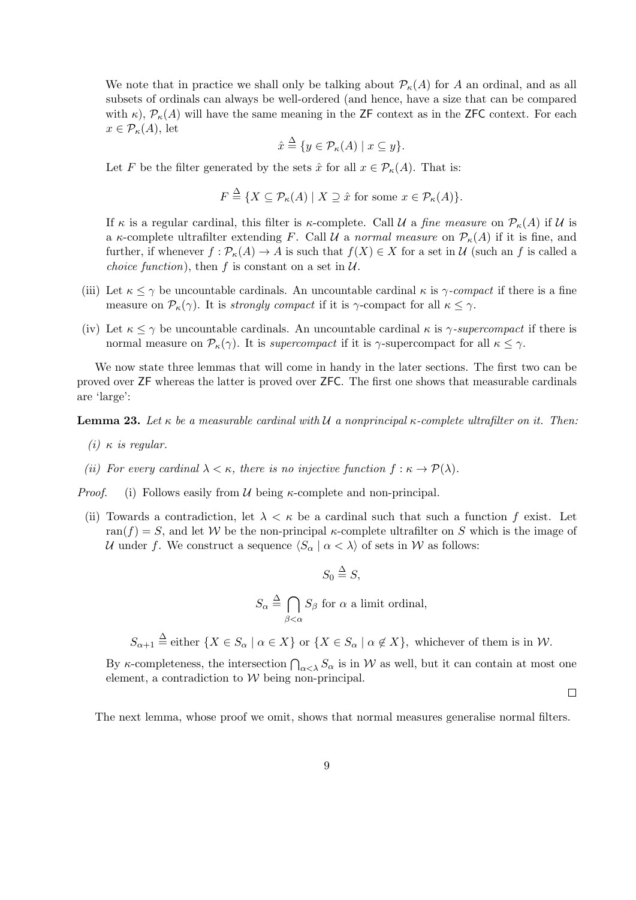We note that in practice we shall only be talking about  $\mathcal{P}_{\kappa}(A)$  for A an ordinal, and as all subsets of ordinals can always be well-ordered (and hence, have a size that can be compared with  $\kappa$ ),  $\mathcal{P}_{\kappa}(A)$  will have the same meaning in the ZF context as in the ZFC context. For each  $x \in \mathcal{P}_{\kappa}(A)$ , let

$$
\hat{x} \stackrel{\Delta}{=} \{ y \in \mathcal{P}_{\kappa}(A) \mid x \subseteq y \}
$$

Let F be the filter generated by the sets  $\hat{x}$  for all  $x \in \mathcal{P}_{\kappa}(A)$ . That is:

$$
F \stackrel{\Delta}{=} \{ X \subseteq \mathcal{P}_{\kappa}(A) \mid X \supseteq \hat{x} \text{ for some } x \in \mathcal{P}_{\kappa}(A) \}.
$$

If  $\kappa$  is a regular cardinal, this filter is  $\kappa$ -complete. Call U a fine measure on  $\mathcal{P}_{\kappa}(A)$  if U is a  $\kappa$ -complete ultrafilter extending F. Call U a normal measure on  $\mathcal{P}_{\kappa}(A)$  if it is fine, and further, if whenever  $f : \mathcal{P}_{\kappa}(A) \to A$  is such that  $f(X) \in X$  for a set in U (such an f is called a *choice function*), then f is constant on a set in  $U$ .

- (iii) Let  $\kappa \leq \gamma$  be uncountable cardinals. An uncountable cardinal  $\kappa$  is  $\gamma$ -compact if there is a fine measure on  $\mathcal{P}_{\kappa}(\gamma)$ . It is *strongly compact* if it is  $\gamma$ -compact for all  $\kappa \leq \gamma$ .
- (iv) Let  $\kappa \leq \gamma$  be uncountable cardinals. An uncountable cardinal  $\kappa$  is  $\gamma$ -supercompact if there is normal measure on  $\mathcal{P}_{\kappa}(\gamma)$ . It is supercompact if it is  $\gamma$ -supercompact for all  $\kappa \leq \gamma$ .

We now state three lemmas that will come in handy in the later sections. The first two can be proved over ZF whereas the latter is proved over ZFC. The first one shows that measurable cardinals are 'large':

**Lemma 23.** Let  $\kappa$  be a measurable cardinal with U a nonprincipal  $\kappa$ -complete ultrafilter on it. Then:

- (i)  $\kappa$  is regular.
- (ii) For every cardinal  $\lambda < \kappa$ , there is no injective function  $f : \kappa \to \mathcal{P}(\lambda)$ .

*Proof.* (i) Follows easily from  $U$  being  $\kappa$ -complete and non-principal.

(ii) Towards a contradiction, let  $\lambda < \kappa$  be a cardinal such that such a function f exist. Let ran(f) = S, and let W be the non-principal  $\kappa$ -complete ultrafilter on S which is the image of U under f. We construct a sequence  $\langle S_\alpha | \alpha \langle \lambda \rangle$  of sets in W as follows:

$$
S_0 \stackrel{\Delta}{=} S,
$$

 $S_{\alpha} \triangleq \bigcap$  $\beta<\alpha$  $S_{\beta}$  for  $\alpha$  a limit ordinal,

 $S_{\alpha+1} \stackrel{\Delta}{=}$  either  $\{X \in S_{\alpha} \mid \alpha \in X\}$  or  $\{X \in S_{\alpha} \mid \alpha \notin X\}$ , whichever of them is in W.

By  $\kappa$ -completeness, the intersection  $\bigcap_{\alpha<\lambda} S_\alpha$  is in W as well, but it can contain at most one element, a contradiction to  $W$  being non-principal.

 $\Box$ 

The next lemma, whose proof we omit, shows that normal measures generalise normal filters.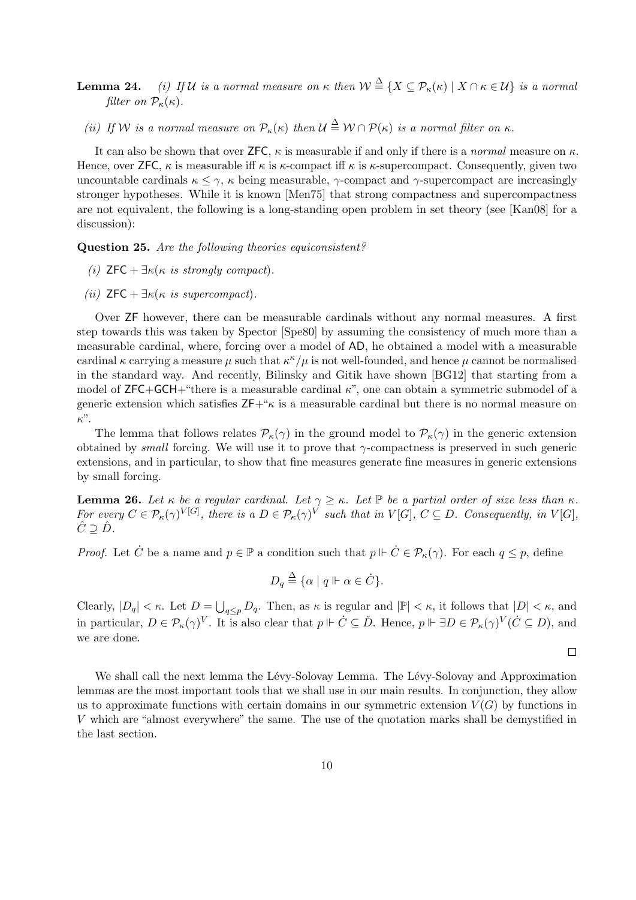- **Lemma 24.** (i) If U is a normal measure on  $\kappa$  then  $\mathcal{W} \stackrel{\Delta}{=} \{X \subseteq \mathcal{P}_{\kappa}(\kappa) \mid X \cap \kappa \in \mathcal{U}\}$  is a normal filter on  $\mathcal{P}_{\kappa}(\kappa)$ .
	- (ii) If W is a normal measure on  $\mathcal{P}_{\kappa}(\kappa)$  then  $\mathcal{U} \triangleq \mathcal{W} \cap \mathcal{P}(\kappa)$  is a normal filter on  $\kappa$ .

It can also be shown that over ZFC,  $\kappa$  is measurable if and only if there is a *normal* measure on  $\kappa$ . Hence, over **ZFC**,  $\kappa$  is measurable iff  $\kappa$  is  $\kappa$ -compact iff  $\kappa$  is  $\kappa$ -supercompact. Consequently, given two uncountable cardinals  $\kappa \leq \gamma$ ,  $\kappa$  being measurable,  $\gamma$ -compact and  $\gamma$ -supercompact are increasingly stronger hypotheses. While it is known [Men75] that strong compactness and supercompactness are not equivalent, the following is a long-standing open problem in set theory (see [Kan08] for a discussion):

Question 25. Are the following theories equiconsistent?

- (i)  $\mathsf{ZFC} + \exists \kappa(\kappa \text{ is strongly compact}).$
- (ii)  $\mathsf{ZFC} + \exists \kappa(\kappa \text{ is supercompact}).$

Over ZF however, there can be measurable cardinals without any normal measures. A first step towards this was taken by Spector [Spe80] by assuming the consistency of much more than a measurable cardinal, where, forcing over a model of AD, he obtained a model with a measurable cardinal  $\kappa$  carrying a measure  $\mu$  such that  $\kappa^{\kappa}/\mu$  is not well-founded, and hence  $\mu$  cannot be normalised in the standard way. And recently, Bilinsky and Gitik have shown [BG12] that starting from a model of  $ZFC+GCH+$ "there is a measurable cardinal  $\kappa$ ", one can obtain a symmetric submodel of a generic extension which satisfies  $ZF+\kappa$  is a measurable cardinal but there is no normal measure on κ".

The lemma that follows relates  $\mathcal{P}_{\kappa}(\gamma)$  in the ground model to  $\mathcal{P}_{\kappa}(\gamma)$  in the generic extension obtained by small forcing. We will use it to prove that  $\gamma$ -compactness is preserved in such generic extensions, and in particular, to show that fine measures generate fine measures in generic extensions by small forcing.

**Lemma 26.** Let  $\kappa$  be a regular cardinal. Let  $\gamma \geq \kappa$ . Let  $\mathbb{P}$  be a partial order of size less than  $\kappa$ . For every  $C \in \mathcal{P}_{\kappa}(\gamma)^{V[G]}$ , there is a  $D \in \mathcal{P}_{\kappa}(\gamma)^{V}$  such that in  $V[G], C \subseteq D$ . Consequently, in  $V[G]$ ,  $\hat{C} \supseteq \hat{D}$ .

*Proof.* Let  $\dot{C}$  be a name and  $p \in \mathbb{P}$  a condition such that  $p \Vdash \dot{C} \in \mathcal{P}_{\kappa}(\gamma)$ . For each  $q \leq p$ , define

$$
D_q \stackrel{\Delta}{=} \{ \alpha \mid q \Vdash \alpha \in \dot{C} \}.
$$

Clearly,  $|D_q| < \kappa$ . Let  $D = \bigcup_{q \leq p} D_q$ . Then, as  $\kappa$  is regular and  $|\mathbb{P}| < \kappa$ , it follows that  $|D| < \kappa$ , and in particular,  $D \in \mathcal{P}_{\kappa}(\gamma)^V$ . It is also clear that  $p \Vdash \dot{C} \subseteq \check{D}$ . Hence,  $p \Vdash \exists D \in \mathcal{P}_{\kappa}(\gamma)^V(\dot{C} \subseteq D)$ , and we are done.

 $\Box$ 

We shall call the next lemma the Lévy-Solovay Lemma. The Lévy-Solovay and Approximation lemmas are the most important tools that we shall use in our main results. In conjunction, they allow us to approximate functions with certain domains in our symmetric extension  $V(G)$  by functions in V which are "almost everywhere" the same. The use of the quotation marks shall be demystified in the last section.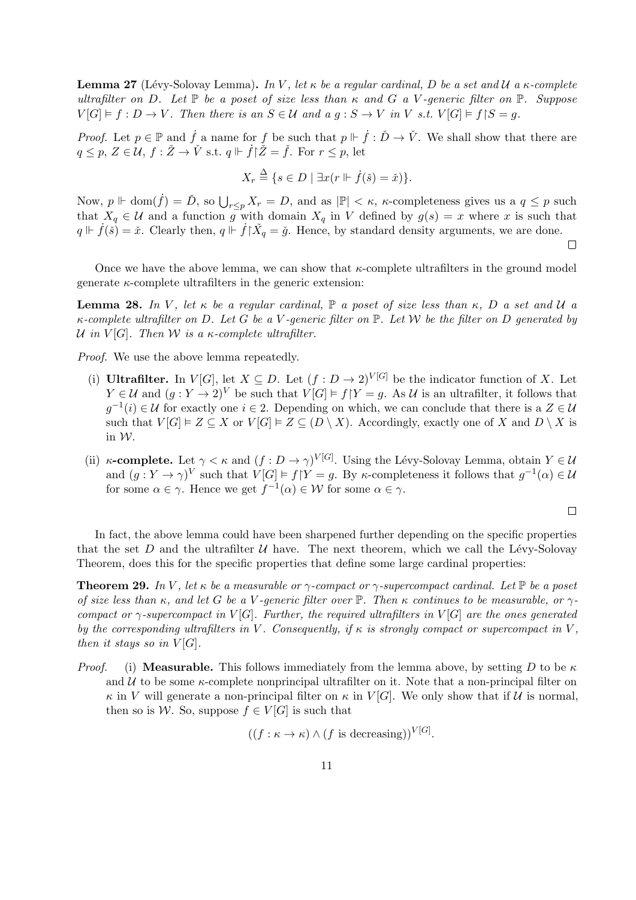**Lemma 27** (Lévy-Solovay Lemma). In V, let  $\kappa$  be a regular cardinal, D be a set and U a  $\kappa$ -complete ultrafilter on D. Let  $\mathbb P$  be a poset of size less than  $\kappa$  and G a V-generic filter on  $\mathbb P$ . Suppose  $V[G] \models f : D \to V$ . Then there is an  $S \in \mathcal{U}$  and a  $q : S \to V$  in V s.t.  $V[G] \models f \restriction S = q$ .

*Proof.* Let  $p \in \mathbb{P}$  and  $\dot{f}$  a name for f be such that  $p \Vdash \dot{f} : \check{D} \to \check{V}$ . We shall show that there are  $q \leq p, Z \in \mathcal{U}, f : \check{Z} \to \check{V}$  s.t.  $q \Vdash \dot{f} \check{Z} = \check{f}$ . For  $r \leq p$ , let

$$
X_r \stackrel{\Delta}{=} \{ s \in D \mid \exists x (r \Vdash \dot{f}(\check{s}) = \check{x}) \}.
$$

Now,  $p \Vdash \text{dom}(\dot{f}) = \check{D}$ , so  $\bigcup_{r \leq p} X_r = D$ , and as  $|\mathbb{P}| < \kappa$ ,  $\kappa$ -completeness gives us a  $q \leq p$  such that  $X_q \in \mathcal{U}$  and a function g with domain  $X_q$  in V defined by  $g(s) = x$  where x is such that  $q \Vdash \dot{f}(\check{s}) = \check{x}$ . Clearly then,  $q \Vdash \dot{f} \upharpoonright \check{X}_q = \check{g}$ . Hence, by standard density arguments, we are done.

Once we have the above lemma, we can show that  $\kappa$ -complete ultrafilters in the ground model generate  $\kappa$ -complete ultrafilters in the generic extension:

**Lemma 28.** In V, let  $\kappa$  be a regular cardinal,  $\mathbb{P}$  a poset of size less than  $\kappa$ , D a set and U a  $\kappa$ -complete ultrafilter on D. Let G be a V-generic filter on  $\mathbb P$ . Let W be the filter on D generated by U in  $V[G]$ . Then W is a  $\kappa$ -complete ultrafilter.

Proof. We use the above lemma repeatedly.

- (i) Ultrafilter. In  $V[G]$ , let  $X \subseteq D$ . Let  $(f: D \to 2)^{V[G]}$  be the indicator function of X. Let  $Y \in \mathcal{U}$  and  $(g: Y \to 2)^V$  be such that  $V[G] \models f|Y = g$ . As  $\mathcal{U}$  is an ultrafilter, it follows that  $g^{-1}(i) \in \mathcal{U}$  for exactly one  $i \in 2$ . Depending on which, we can conclude that there is a  $Z \in \mathcal{U}$ such that  $V[G] \models Z \subseteq X$  or  $V[G] \models Z \subseteq (D \setminus X)$ . Accordingly, exactly one of X and  $D \setminus X$  is in W.
- (ii)  $\kappa$ -complete. Let  $\gamma < \kappa$  and  $(f: D \to \gamma)^{V[G]}$ . Using the Lévy-Solovay Lemma, obtain  $Y \in \mathcal{U}$ and  $(g: Y \to \gamma)^V$  such that  $V[G] \models f \upharpoonright Y = g$ . By  $\kappa$ -completeness it follows that  $g^{-1}(\alpha) \in \mathcal{U}$ for some  $\alpha \in \gamma$ . Hence we get  $f^{-1}(\alpha) \in \mathcal{W}$  for some  $\alpha \in \gamma$ .

$$
\Box
$$

 $\Box$ 

In fact, the above lemma could have been sharpened further depending on the specific properties that the set D and the ultrafilter  $U$  have. The next theorem, which we call the Lévy-Solovay Theorem, does this for the specific properties that define some large cardinal properties:

**Theorem 29.** In V, let  $\kappa$  be a measurable or  $\gamma$ -compact or  $\gamma$ -supercompact cardinal. Let  $\mathbb{P}$  be a poset of size less than  $\kappa$ , and let G be a V-generic filter over  $\mathbb P$ . Then  $\kappa$  continues to be measurable, or  $\gamma$ compact or  $\gamma$ -supercompact in  $V[G]$ . Further, the required ultrafilters in  $V[G]$  are the ones generated by the corresponding ultrafilters in V. Consequently, if  $\kappa$  is strongly compact or supercompact in V, then it stays so in  $V[G]$ .

*Proof.* (i) Measurable. This follows immediately from the lemma above, by setting D to be  $\kappa$ and  $\mathcal U$  to be some  $\kappa$ -complete nonprincipal ultrafilter on it. Note that a non-principal filter on  $\kappa$  in V will generate a non-principal filter on  $\kappa$  in  $V[G]$ . We only show that if U is normal, then so is W. So, suppose  $f \in V[G]$  is such that

$$
((f : \kappa \to \kappa) \wedge (f \text{ is decreasing}))^{V[G]}.
$$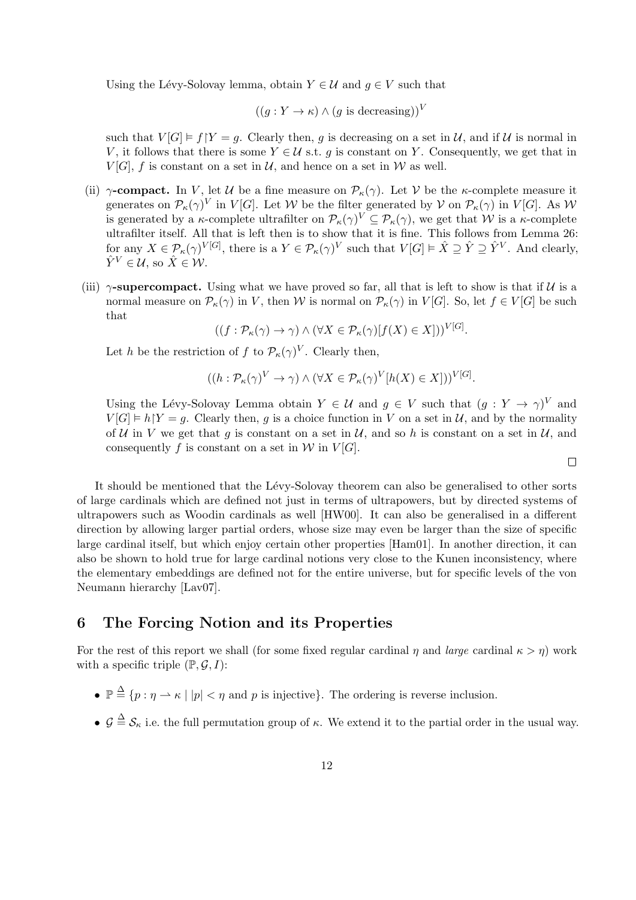Using the Lévy-Solovay lemma, obtain  $Y \in \mathcal{U}$  and  $g \in V$  such that

$$
((g:Y \to \kappa) \land (g \text{ is decreasing}))^V
$$

such that  $V[G] \models f|Y = q$ . Clearly then, q is decreasing on a set in U, and if U is normal in V, it follows that there is some  $Y \in \mathcal{U}$  s.t. g is constant on Y. Consequently, we get that in  $V[G]$ , f is constant on a set in  $\mathcal{U}$ , and hence on a set in W as well.

- (ii)  $\gamma$ -compact. In V, let U be a fine measure on  $\mathcal{P}_{\kappa}(\gamma)$ . Let V be the  $\kappa$ -complete measure it generates on  $\mathcal{P}_{\kappa}(\gamma)^{V}$  in  $V[G]$ . Let W be the filter generated by V on  $\mathcal{P}_{\kappa}(\gamma)$  in  $V[G]$ . As W is generated by a  $\kappa$ -complete ultrafilter on  $\mathcal{P}_{\kappa}(\gamma)^V \subseteq \mathcal{P}_{\kappa}(\gamma)$ , we get that W is a  $\kappa$ -complete ultrafilter itself. All that is left then is to show that it is fine. This follows from Lemma 26: for any  $X \in \mathcal{P}_{\kappa}(\gamma)^{V[G]}$ , there is a  $Y \in \mathcal{P}_{\kappa}(\gamma)^{V}$  such that  $V[G] \models \hat{X} \supseteq \hat{Y} \supseteq \hat{Y}^{V}$ . And clearly,  $\hat{Y}^V \in \mathcal{U}$ , so  $\hat{X} \in \mathcal{W}$ .
- (iii)  $\gamma$ -supercompact. Using what we have proved so far, all that is left to show is that if U is a normal measure on  $\mathcal{P}_{\kappa}(\gamma)$  in V, then W is normal on  $\mathcal{P}_{\kappa}(\gamma)$  in  $V[G]$ . So, let  $f \in V[G]$  be such that

$$
((f: \mathcal{P}_{\kappa}(\gamma) \to \gamma) \land (\forall X \in \mathcal{P}_{\kappa}(\gamma)[f(X) \in X]))^{V[G]}.
$$

Let h be the restriction of f to  $\mathcal{P}_{\kappa}(\gamma)^{V}$ . Clearly then,

$$
((h: \mathcal{P}_{\kappa}(\gamma)^{V} \to \gamma) \land (\forall X \in \mathcal{P}_{\kappa}(\gamma)^{V}[h(X) \in X]))^{V[G]}.
$$

Using the Lévy-Solovay Lemma obtain  $Y \in \mathcal{U}$  and  $g \in V$  such that  $(g: Y \to \gamma)^V$  and  $V[G] \models h|Y = g$ . Clearly then, g is a choice function in V on a set in U, and by the normality of U in V we get that g is constant on a set in U, and so h is constant on a set in U, and consequently f is constant on a set in  $W$  in  $V[G]$ .

 $\Box$ 

It should be mentioned that the Lévy-Solovay theorem can also be generalised to other sorts of large cardinals which are defined not just in terms of ultrapowers, but by directed systems of ultrapowers such as Woodin cardinals as well [HW00]. It can also be generalised in a different direction by allowing larger partial orders, whose size may even be larger than the size of specific large cardinal itself, but which enjoy certain other properties [Ham01]. In another direction, it can also be shown to hold true for large cardinal notions very close to the Kunen inconsistency, where the elementary embeddings are defined not for the entire universe, but for specific levels of the von Neumann hierarchy [Lav07].

### 6 The Forcing Notion and its Properties

For the rest of this report we shall (for some fixed regular cardinal  $\eta$  and *large* cardinal  $\kappa > \eta$ ) work with a specific triple  $(\mathbb{P}, \mathcal{G}, I)$ :

- $\mathbb{P} \triangleq \{p : \eta \to \kappa \mid |p| < \eta \text{ and } p \text{ is injective}\}.$  The ordering is reverse inclusion.
- $\mathcal{G} \triangleq \mathcal{S}_{\kappa}$  i.e. the full permutation group of  $\kappa$ . We extend it to the partial order in the usual way.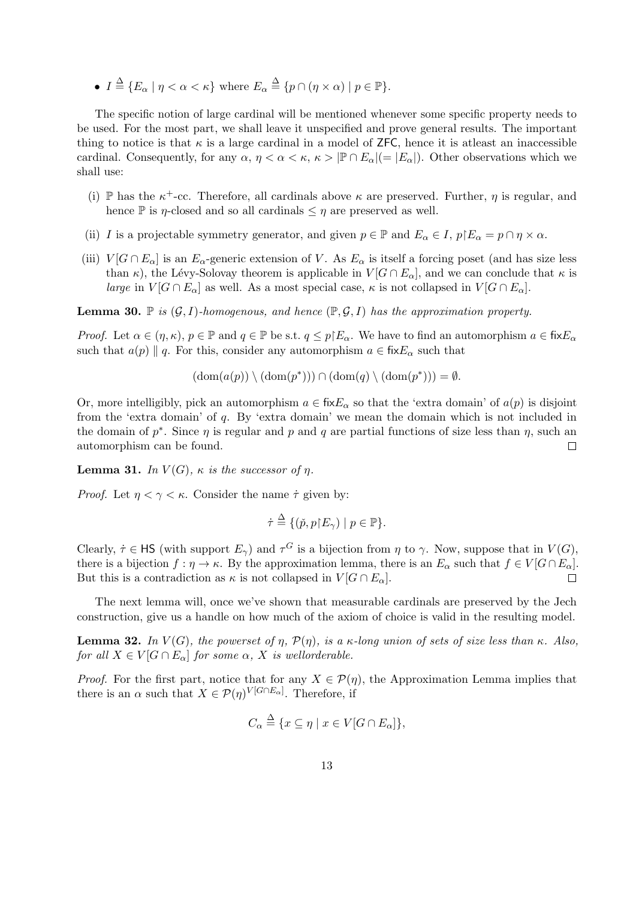•  $I \stackrel{\Delta}{=} \{ E_{\alpha} \mid \eta < \alpha < \kappa \}$  where  $E_{\alpha} \stackrel{\Delta}{=} \{ p \cap (\eta \times \alpha) \mid p \in \mathbb{P} \}.$ 

The specific notion of large cardinal will be mentioned whenever some specific property needs to be used. For the most part, we shall leave it unspecified and prove general results. The important thing to notice is that  $\kappa$  is a large cardinal in a model of ZFC, hence it is at least an inaccessible cardinal. Consequently, for any  $\alpha, \eta < \alpha < \kappa, \kappa > |\mathbb{P} \cap E_{\alpha}| (= |E_{\alpha}|)$ . Other observations which we shall use:

- (i) P has the  $\kappa^+$ -cc. Therefore, all cardinals above  $\kappa$  are preserved. Further,  $\eta$  is regular, and hence  $\mathbb P$  is *η*-closed and so all cardinals  $\leq \eta$  are preserved as well.
- (ii) I is a projectable symmetry generator, and given  $p \in \mathbb{P}$  and  $E_{\alpha} \in I$ ,  $p \nvert E_{\alpha} = p \cap \eta \times \alpha$ .
- (iii)  $V[G \cap E_\alpha]$  is an  $E_\alpha$ -generic extension of V. As  $E_\alpha$  is itself a forcing poset (and has size less than  $\kappa$ ), the Lévy-Solovay theorem is applicable in  $V[G \cap E_\alpha]$ , and we can conclude that  $\kappa$  is large in  $V[G \cap E_{\alpha}]$  as well. As a most special case,  $\kappa$  is not collapsed in  $V[G \cap E_{\alpha}]$ .

**Lemma 30.**  $\mathbb{P}$  is  $(\mathcal{G}, I)$ -homogenous, and hence  $(\mathbb{P}, \mathcal{G}, I)$  has the approximation property.

*Proof.* Let  $\alpha \in (\eta, \kappa), p \in \mathbb{P}$  and  $q \in \mathbb{P}$  be s.t.  $q \leq p \nvert E_\alpha$ . We have to find an automorphism  $a \in \text{fix}E_\alpha$ such that  $a(p) \parallel q$ . For this, consider any automorphism  $a \in \text{fix}E_{\alpha}$  such that

$$
(\text{dom}(a(p)) \setminus (\text{dom}(p^*))) \cap (\text{dom}(q) \setminus (\text{dom}(p^*))) = \emptyset.
$$

Or, more intelligibly, pick an automorphism  $a \in \text{fix}E_\alpha$  so that the 'extra domain' of  $a(p)$  is disjoint from the 'extra domain' of q. By 'extra domain' we mean the domain which is not included in the domain of  $p^*$ . Since  $\eta$  is regular and p and q are partial functions of size less than  $\eta$ , such an automorphism can be found.  $\Box$ 

**Lemma 31.** In  $V(G)$ ,  $\kappa$  is the successor of  $\eta$ .

*Proof.* Let  $\eta < \gamma < \kappa$ . Consider the name  $\dot{\tau}$  given by:

$$
\dot{\tau} \stackrel{\Delta}{=} \{(\check{p}, p \restriction E_{\gamma}) \mid p \in \mathbb{P}\}.
$$

Clearly,  $\tau \in \mathsf{HS}$  (with support  $E_{\gamma}$ ) and  $\tau^G$  is a bijection from  $\eta$  to  $\gamma$ . Now, suppose that in  $V(G)$ , there is a bijection  $f : \eta \to \kappa$ . By the approximation lemma, there is an  $E_{\alpha}$  such that  $f \in V[G \cap E_{\alpha}]$ . But this is a contradiction as  $\kappa$  is not collapsed in  $V[G \cap E_{\alpha}]$ .  $\Box$ 

The next lemma will, once we've shown that measurable cardinals are preserved by the Jech construction, give us a handle on how much of the axiom of choice is valid in the resulting model.

**Lemma 32.** In  $V(G)$ , the powerset of  $\eta$ ,  $\mathcal{P}(\eta)$ , is a κ-long union of sets of size less than κ. Also, for all  $X \in V[G \cap E_{\alpha}]$  for some  $\alpha$ , X is wellorderable.

*Proof.* For the first part, notice that for any  $X \in \mathcal{P}(\eta)$ , the Approximation Lemma implies that there is an  $\alpha$  such that  $X \in \mathcal{P}(\eta)^{V[G \cap E_{\alpha}]}$ . Therefore, if

$$
C_{\alpha} \stackrel{\Delta}{=} \{x \subseteq \eta \mid x \in V[G \cap E_{\alpha}]\},\
$$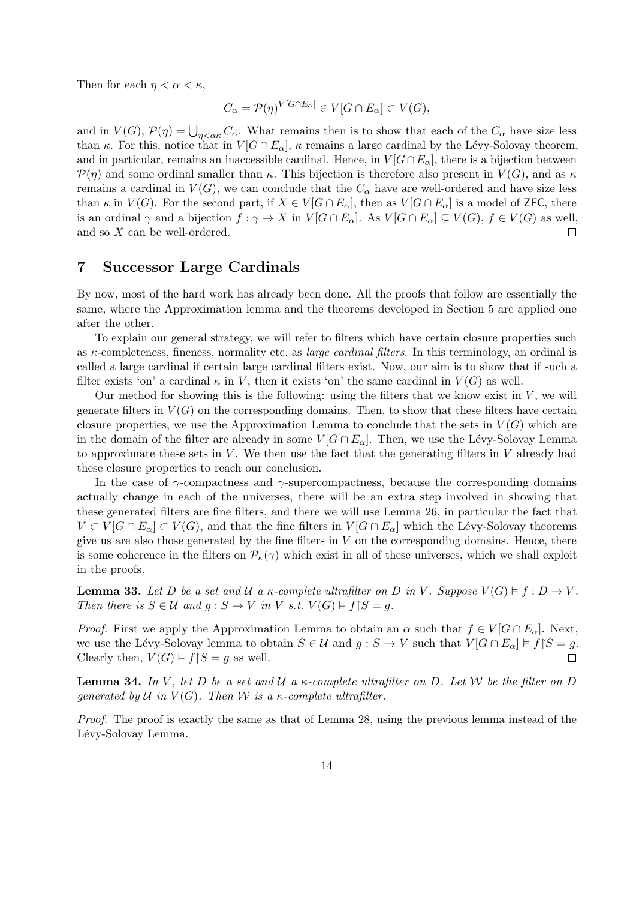Then for each  $\eta < \alpha < \kappa$ ,

$$
C_{\alpha} = \mathcal{P}(\eta)^{V[G \cap E_{\alpha}]} \in V[G \cap E_{\alpha}] \subset V(G),
$$

and in  $V(G)$ ,  $\mathcal{P}(\eta) = \bigcup_{\eta < \alpha \kappa} C_{\alpha}$ . What remains then is to show that each of the  $C_{\alpha}$  have size less than κ. For this, notice that in  $V[G \cap E_\alpha]$ , κ remains a large cardinal by the Lévy-Solovay theorem. and in particular, remains an inaccessible cardinal. Hence, in  $V[G \cap E_\alpha]$ , there is a bijection between  $\mathcal{P}(\eta)$  and some ordinal smaller than  $\kappa$ . This bijection is therefore also present in  $V(G)$ , and as  $\kappa$ remains a cardinal in  $V(G)$ , we can conclude that the  $C_{\alpha}$  have are well-ordered and have size less than  $\kappa$  in  $V(G)$ . For the second part, if  $X \in V[G \cap E_\alpha]$ , then as  $V[G \cap E_\alpha]$  is a model of ZFC, there is an ordinal  $\gamma$  and a bijection  $f : \gamma \to X$  in  $V[G \cap E_\alpha]$ . As  $V[G \cap E_\alpha] \subseteq V(G)$ ,  $f \in V(G)$  as well, and so X can be well-ordered.  $\Box$ 

### 7 Successor Large Cardinals

By now, most of the hard work has already been done. All the proofs that follow are essentially the same, where the Approximation lemma and the theorems developed in Section 5 are applied one after the other.

To explain our general strategy, we will refer to filters which have certain closure properties such as  $\kappa$ -completeness, fineness, normality etc. as *large cardinal filters*. In this terminology, an ordinal is called a large cardinal if certain large cardinal filters exist. Now, our aim is to show that if such a filter exists 'on' a cardinal  $\kappa$  in V, then it exists 'on' the same cardinal in  $V(G)$  as well.

Our method for showing this is the following: using the filters that we know exist in  $V$ , we will generate filters in  $V(G)$  on the corresponding domains. Then, to show that these filters have certain closure properties, we use the Approximation Lemma to conclude that the sets in  $V(G)$  which are in the domain of the filter are already in some  $V[G \cap E_\alpha]$ . Then, we use the Lévy-Solovay Lemma to approximate these sets in  $V$ . We then use the fact that the generating filters in  $V$  already had these closure properties to reach our conclusion.

In the case of  $\gamma$ -compactness and  $\gamma$ -supercompactness, because the corresponding domains actually change in each of the universes, there will be an extra step involved in showing that these generated filters are fine filters, and there we will use Lemma 26, in particular the fact that  $V \subset V[G \cap E_\alpha] \subset V(G)$ , and that the fine filters in  $V[G \cap E_\alpha]$  which the Lévy-Solovay theorems give us are also those generated by the fine filters in  $V$  on the corresponding domains. Hence, there is some coherence in the filters on  $\mathcal{P}_{\kappa}(\gamma)$  which exist in all of these universes, which we shall exploit in the proofs.

**Lemma 33.** Let D be a set and U a  $\kappa$ -complete ultrafilter on D in V. Suppose  $V(G) \models f : D \rightarrow V$ . Then there is  $S \in \mathcal{U}$  and  $g : S \to V$  in V s.t.  $V(G) \models f \upharpoonright S = g$ .

*Proof.* First we apply the Approximation Lemma to obtain an  $\alpha$  such that  $f \in V[G \cap E_\alpha]$ . Next, we use the Lévy-Solovay lemma to obtain  $S \in \mathcal{U}$  and  $g : S \to V$  such that  $V[G \cap E_{\alpha}] \models f \upharpoonright S = g$ . Clearly then,  $V(G) \models f \upharpoonright S = g$  as well.

**Lemma 34.** In V, let D be a set and U a  $\kappa$ -complete ultrafilter on D. Let W be the filter on D generated by U in  $V(G)$ . Then W is a  $\kappa$ -complete ultrafilter.

Proof. The proof is exactly the same as that of Lemma 28, using the previous lemma instead of the Lévy-Solovay Lemma.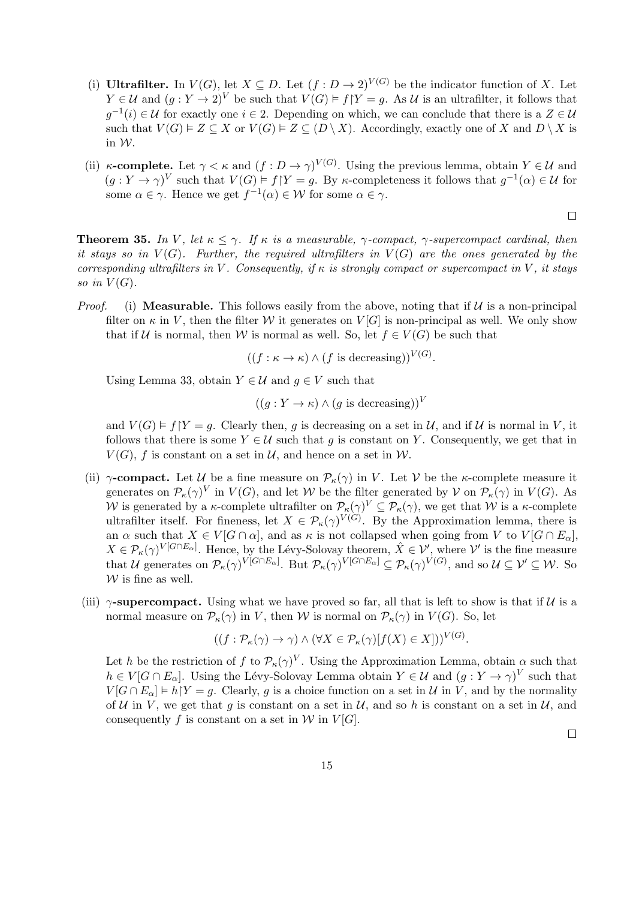- (i) Ultrafilter. In  $V(G)$ , let  $X \subseteq D$ . Let  $(f : D \to 2)^{V(G)}$  be the indicator function of X. Let  $Y \in \mathcal{U}$  and  $(g: Y \to 2)^V$  be such that  $V(G) \models f|Y = g$ . As  $\mathcal{U}$  is an ultrafilter, it follows that  $g^{-1}(i) \in \mathcal{U}$  for exactly one  $i \in 2$ . Depending on which, we can conclude that there is a  $Z \in \mathcal{U}$ such that  $V(G) \models Z \subseteq X$  or  $V(G) \models Z \subseteq (D \setminus X)$ . Accordingly, exactly one of X and  $D \setminus X$  is in W.
- (ii)  $\kappa$ -complete. Let  $\gamma < \kappa$  and  $(f: D \to \gamma)^{V(G)}$ . Using the previous lemma, obtain  $Y \in \mathcal{U}$  and  $(g: Y \to \gamma)^V$  such that  $V(G) \models f \upharpoonright Y = g$ . By  $\kappa$ -completeness it follows that  $g^{-1}(\alpha) \in \mathcal{U}$  for some  $\alpha \in \gamma$ . Hence we get  $f^{-1}(\alpha) \in \mathcal{W}$  for some  $\alpha \in \gamma$ .

$$
\Box
$$

**Theorem 35.** In V, let  $\kappa \leq \gamma$ . If  $\kappa$  is a measurable,  $\gamma$ -compact,  $\gamma$ -supercompact cardinal, then it stays so in  $V(G)$ . Further, the required ultrafilters in  $V(G)$  are the ones generated by the corresponding ultrafilters in V. Consequently, if  $\kappa$  is strongly compact or supercompact in V, it stays so in  $V(G)$ .

*Proof.* (i) **Measurable.** This follows easily from the above, noting that if  $U$  is a non-principal filter on  $\kappa$  in V, then the filter W it generates on  $V[G]$  is non-principal as well. We only show that if U is normal, then W is normal as well. So, let  $f \in V(G)$  be such that

 $((f : \kappa \to \kappa) \wedge (f \text{ is decreasing}))^{V(G)}$ .

Using Lemma 33, obtain  $Y \in \mathcal{U}$  and  $q \in V$  such that

$$
((g:Y \to \kappa) \land (g \text{ is decreasing}))^V
$$

and  $V(G) \models f|Y = q$ . Clearly then, q is decreasing on a set in U, and if U is normal in V, it follows that there is some  $Y \in \mathcal{U}$  such that q is constant on Y. Consequently, we get that in  $V(G)$ , f is constant on a set in U, and hence on a set in W.

- (ii)  $\gamma$ -compact. Let U be a fine measure on  $\mathcal{P}_{\kappa}(\gamma)$  in V. Let V be the  $\kappa$ -complete measure it generates on  $\mathcal{P}_{\kappa}(\gamma)^{V}$  in  $V(G)$ , and let W be the filter generated by V on  $\mathcal{P}_{\kappa}(\gamma)$  in  $V(G)$ . As W is generated by a  $\kappa$ -complete ultrafilter on  $\mathcal{P}_{\kappa}(\gamma)^{V} \subseteq \mathcal{P}_{\kappa}(\gamma)$ , we get that W is a  $\kappa$ -complete ultrafilter itself. For fineness, let  $X \in \mathcal{P}_{\kappa}(\gamma)^{V(G)}$ . By the Approximation lemma, there is an  $\alpha$  such that  $X \in V[G \cap \alpha]$ , and as  $\kappa$  is not collapsed when going from V to  $V[G \cap E_{\alpha}]$ ,  $X \in \mathcal{P}_{\kappa}(\gamma)^{V[G \cap E_{\alpha}]}$ . Hence, by the Lévy-Solovay theorem,  $\hat{X} \in \mathcal{V}'$ , where  $\mathcal{V}'$  is the fine measure that U generates on  $\mathcal{P}_{\kappa}(\gamma)^{V[G\cap E_{\alpha}]}$ . But  $\mathcal{P}_{\kappa}(\gamma)^{V[G\cap E_{\alpha}]} \subseteq \mathcal{P}_{\kappa}(\gamma)^{V(G)}$ , and so  $\mathcal{U} \subseteq \mathcal{V}' \subseteq \mathcal{W}$ . So  $W$  is fine as well.
- (iii)  $\gamma$ -supercompact. Using what we have proved so far, all that is left to show is that if  $\mathcal U$  is a normal measure on  $\mathcal{P}_{\kappa}(\gamma)$  in V, then W is normal on  $\mathcal{P}_{\kappa}(\gamma)$  in  $V(G)$ . So, let

$$
((f: \mathcal{P}_{\kappa}(\gamma) \to \gamma) \land (\forall X \in \mathcal{P}_{\kappa}(\gamma)[f(X) \in X]))^{V(G)}.
$$

Let h be the restriction of f to  $\mathcal{P}_{\kappa}(\gamma)^V$ . Using the Approximation Lemma, obtain  $\alpha$  such that  $h \in V[G \cap E_\alpha]$ . Using the Lévy-Solovay Lemma obtain  $Y \in \mathcal{U}$  and  $(g: Y \to \gamma)^V$  such that  $V[G \cap E_\alpha] \models h|Y = g$ . Clearly, g is a choice function on a set in U in V, and by the normality of U in V, we get that q is constant on a set in U, and so h is constant on a set in U, and consequently f is constant on a set in  $W$  in  $V[G]$ .

 $\Box$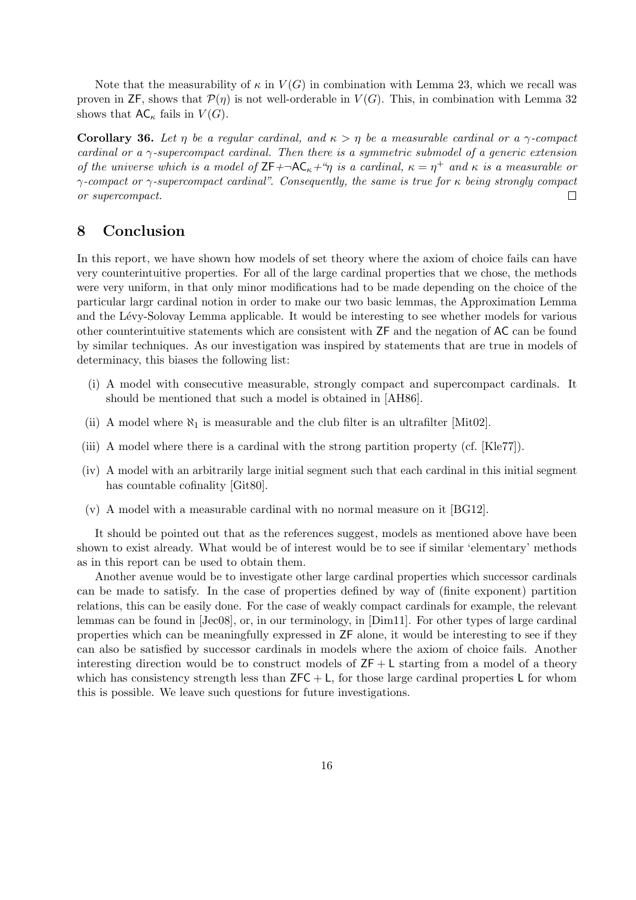Note that the measurability of  $\kappa$  in  $V(G)$  in combination with Lemma 23, which we recall was proven in ZF, shows that  $\mathcal{P}(\eta)$  is not well-orderable in  $V(G)$ . This, in combination with Lemma 32 shows that  $AC_{\kappa}$  fails in  $V(G)$ .

Corollary 36. Let  $\eta$  be a regular cardinal, and  $\kappa > \eta$  be a measurable cardinal or a  $\gamma$ -compact cardinal or a  $\gamma$ -supercompact cardinal. Then there is a symmetric submodel of a generic extension of the universe which is a model of  $ZF + \neg AC_{\kappa} + \gamma$  is a cardinal,  $\kappa = \eta^+$  and  $\kappa$  is a measurable or  $\gamma$ -compact or  $\gamma$ -supercompact cardinal". Consequently, the same is true for  $\kappa$  being strongly compact or supercompact.  $\Box$ 

### 8 Conclusion

In this report, we have shown how models of set theory where the axiom of choice fails can have very counterintuitive properties. For all of the large cardinal properties that we chose, the methods were very uniform, in that only minor modifications had to be made depending on the choice of the particular largr cardinal notion in order to make our two basic lemmas, the Approximation Lemma and the Lévy-Solovay Lemma applicable. It would be interesting to see whether models for various other counterintuitive statements which are consistent with ZF and the negation of AC can be found by similar techniques. As our investigation was inspired by statements that are true in models of determinacy, this biases the following list:

- (i) A model with consecutive measurable, strongly compact and supercompact cardinals. It should be mentioned that such a model is obtained in [AH86].
- (ii) A model where  $\aleph_1$  is measurable and the club filter is an ultrafilter [Mit02].
- (iii) A model where there is a cardinal with the strong partition property (cf. [Kle77]).
- (iv) A model with an arbitrarily large initial segment such that each cardinal in this initial segment has countable cofinality [Git80].
- (v) A model with a measurable cardinal with no normal measure on it [BG12].

It should be pointed out that as the references suggest, models as mentioned above have been shown to exist already. What would be of interest would be to see if similar 'elementary' methods as in this report can be used to obtain them.

Another avenue would be to investigate other large cardinal properties which successor cardinals can be made to satisfy. In the case of properties defined by way of (finite exponent) partition relations, this can be easily done. For the case of weakly compact cardinals for example, the relevant lemmas can be found in [Jec08], or, in our terminology, in [Dim11]. For other types of large cardinal properties which can be meaningfully expressed in ZF alone, it would be interesting to see if they can also be satisfied by successor cardinals in models where the axiom of choice fails. Another interesting direction would be to construct models of  $ZF + L$  starting from a model of a theory which has consistency strength less than  $ZFC + L$ , for those large cardinal properties L for whom this is possible. We leave such questions for future investigations.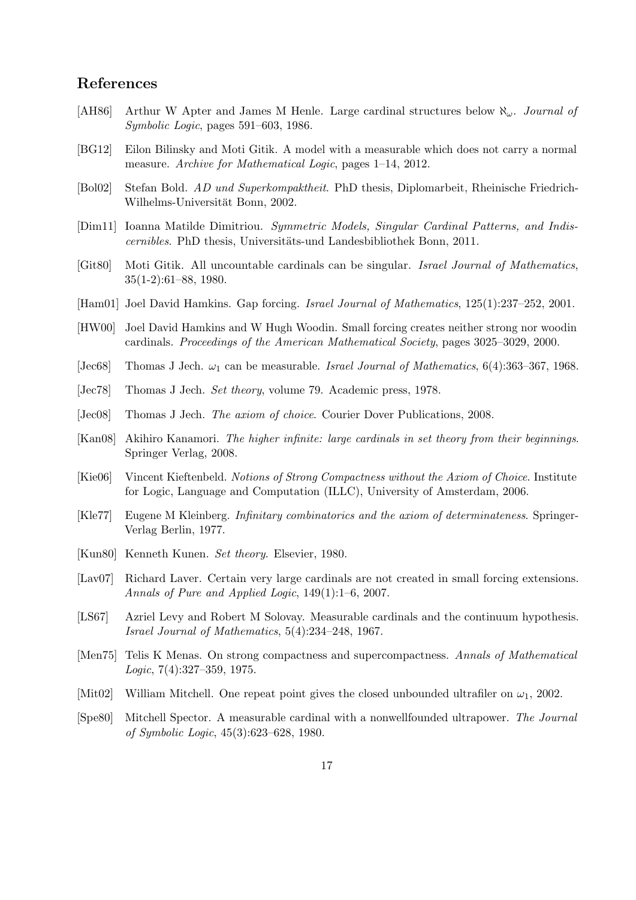### References

- [AH86] Arthur W Apter and James M Henle. Large cardinal structures below  $\aleph_{\omega}$ . Journal of Symbolic Logic, pages 591–603, 1986.
- [BG12] Eilon Bilinsky and Moti Gitik. A model with a measurable which does not carry a normal measure. Archive for Mathematical Logic, pages 1–14, 2012.
- [Bol02] Stefan Bold. AD und Superkompaktheit. PhD thesis, Diplomarbeit, Rheinische Friedrich-Wilhelms-Universität Bonn, 2002.
- [Dim11] Ioanna Matilde Dimitriou. Symmetric Models, Singular Cardinal Patterns, and Indiscernibles. PhD thesis, Universitäts-und Landesbibliothek Bonn, 2011.
- [Git80] Moti Gitik. All uncountable cardinals can be singular. Israel Journal of Mathematics, 35(1-2):61–88, 1980.
- [Ham01] Joel David Hamkins. Gap forcing. Israel Journal of Mathematics, 125(1):237-252, 2001.
- [HW00] Joel David Hamkins and W Hugh Woodin. Small forcing creates neither strong nor woodin cardinals. Proceedings of the American Mathematical Society, pages 3025–3029, 2000.
- [Jec68] Thomas J Jech.  $\omega_1$  can be measurable. Israel Journal of Mathematics, 6(4):363–367, 1968.
- [Jec78] Thomas J Jech. *Set theory*, volume 79. Academic press, 1978.
- [Jec08] Thomas J Jech. The axiom of choice. Courier Dover Publications, 2008.
- [Kan08] Akihiro Kanamori. The higher infinite: large cardinals in set theory from their beginnings. Springer Verlag, 2008.
- [Kie06] Vincent Kieftenbeld. Notions of Strong Compactness without the Axiom of Choice. Institute for Logic, Language and Computation (ILLC), University of Amsterdam, 2006.
- [Kle77] Eugene M Kleinberg. Infinitary combinatorics and the axiom of determinateness. Springer-Verlag Berlin, 1977.
- [Kun80] Kenneth Kunen. Set theory. Elsevier, 1980.
- [Lav07] Richard Laver. Certain very large cardinals are not created in small forcing extensions. Annals of Pure and Applied Logic, 149(1):1–6, 2007.
- [LS67] Azriel Levy and Robert M Solovay. Measurable cardinals and the continuum hypothesis. Israel Journal of Mathematics, 5(4):234–248, 1967.
- [Men75] Telis K Menas. On strong compactness and supercompactness. Annals of Mathematical Logic,  $7(4):327-359$ , 1975.
- [Mit02] William Mitchell. One repeat point gives the closed unbounded ultrafiler on  $\omega_1$ , 2002.
- [Spe80] Mitchell Spector. A measurable cardinal with a nonwellfounded ultrapower. The Journal of Symbolic Logic, 45(3):623–628, 1980.